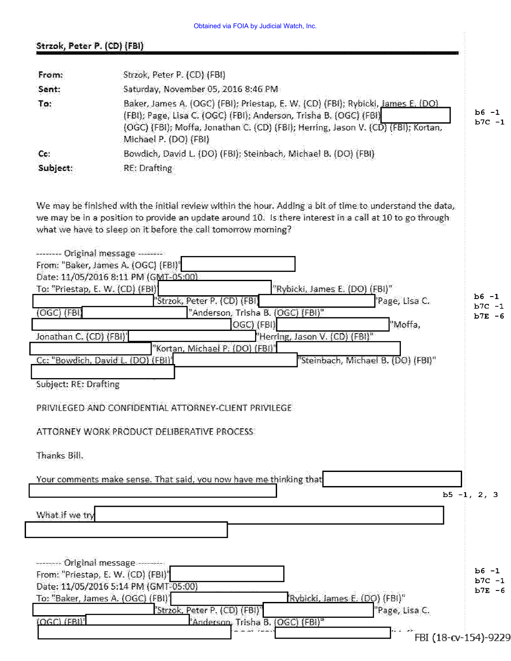## Strzok, Peter P. (CD) (FBI)

| From:<br>Sent: | Strzok, Peter P. (CD) (FBI)<br>Saturday, November 05, 2016 8:46 PM                                                                                                                                                                                                  |                     |
|----------------|---------------------------------------------------------------------------------------------------------------------------------------------------------------------------------------------------------------------------------------------------------------------|---------------------|
| To:            | Baker, James A. (OGC) (FBI); Priestap, E. W. (CD) (FBI); Rybicki, James E. (DO).<br>(FBI); Page, Lisa C. (OGC) (FBI); Anderson, Trisha B. (OGC) (FBI)<br>(OGC) (FBI); Moffa, Jonathan C. (CD) (FBI); Herring, Jason V. (CD) (FBI); Kortan,<br>Michael P. (DO) (FBI) | $b6 -1$<br>$b7C -1$ |
| Cc:            | Bowdich, David L. (DO) (FBI); Steinbach, Michael B. (DO) (FBI)                                                                                                                                                                                                      |                     |
| Subject:       | RE: Drafting                                                                                                                                                                                                                                                        |                     |

We may be finished with the initial review within the hour. Adding a bit of time to understand the data, we may be in a position to provide an update around 10. Is there interest in a call at 10 to go through what we have to sleep on it before the call tomorrow morning?

| <b>Communicate Control of Communications</b><br>From: "Baker, James A. (OGC) (FBI)' |                                          |                      |
|-------------------------------------------------------------------------------------|------------------------------------------|----------------------|
| Date: 11/05/2016 8:11 PM (GMT-05:00)                                                |                                          |                      |
| To: "Priestap, E. W. (CD) (FBI)                                                     | "Rybicki, James E. (DO) (FBI)"           |                      |
| 'Strzok, Peter P. (CD) (FBI)                                                        | 'Page, Lisa C.                           | b6 -1<br>$b7C - 1$   |
| "Anderson, Trisha B. (OGC) [FBI]"<br>$\overline{\text{(OGC)} }$ $\text{[FB1]}$      |                                          | $b7E - 6$            |
| OGC) (FBI)                                                                          | "Moffa,                                  |                      |
| Jonathan C. (CD) (FBI)'                                                             | "Herring, Jason V. (CD) (FBI)"           |                      |
| "Kortan, Michael P. (DO) (FBI)"                                                     |                                          |                      |
| Cc: "Bowdich, David L. (DO) (FBI)'                                                  | "Steinbach, Michael B. (DO) (FBI)"       |                      |
|                                                                                     |                                          |                      |
| <b>Subject: RE: Drafting</b>                                                        |                                          |                      |
|                                                                                     |                                          |                      |
| PRIVILEGED AND CONFIDENTIAL ATTORNEY-CLIENT PRIVILEGE                               |                                          |                      |
|                                                                                     |                                          |                      |
| ATTORNEY WORK PRODUCT DELIBERATIVE PROCESS                                          |                                          |                      |
|                                                                                     |                                          |                      |
| Thanks Bill.                                                                        |                                          |                      |
|                                                                                     |                                          |                      |
| Your comments make sense. That said, you now have me thinking that                  |                                          |                      |
|                                                                                     |                                          | $b5 - 1, 2, 3$       |
|                                                                                     |                                          |                      |
| What if we try                                                                      |                                          |                      |
|                                                                                     |                                          |                      |
|                                                                                     |                                          |                      |
|                                                                                     |                                          |                      |
| ------- Original message --------                                                   |                                          |                      |
| From: "Priestap, E. W. (CD) (FBI)"                                                  |                                          | $b6 -1$<br>$b7C - 1$ |
| Date: 11/05/2016 5:14 PM (GMT-05:00)                                                |                                          | $b7E - 6$            |
| To: "Baker, James A. (OGC) (FBI)'                                                   | Prvbicki, <u>James E. (DO)</u> (FBI)"    |                      |
| "Strzok, Peter P. (CD) (FBI)"                                                       | "Page, Lisa C.                           |                      |
| $(OGC)$ $(FBI)'$<br>Anderson, Trisha B. (OGC) (FBI)"                                |                                          |                      |
|                                                                                     | التواصل الماليان<br>FBI (18-cv-154)-9229 |                      |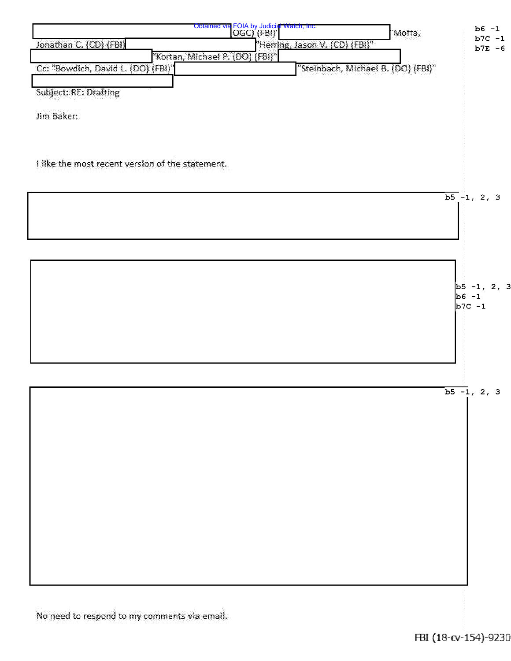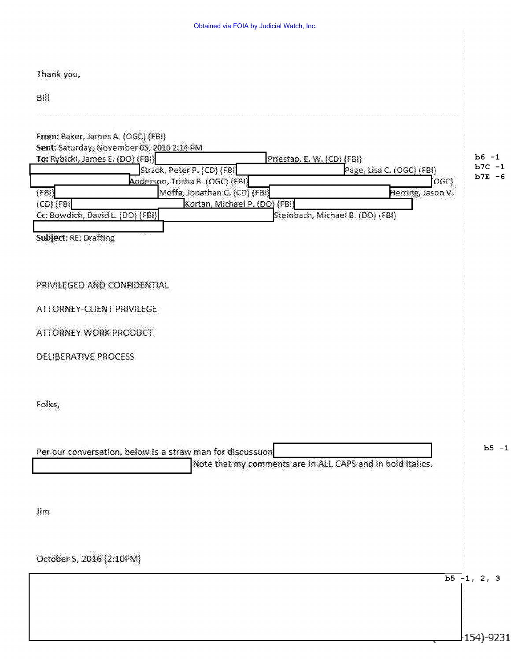| Thank you,<br>Bill<br>From: Baker, James A. (OGC) (FBI)<br>Sent: Saturday, November 05, 2016 2:14 PM<br>To: Rybicki, James E. (DO) (FBI)<br>Priestap, E. W. (CD) (FBI)<br>Strzok, Peter P. (CD) (FBI<br>Page, Lisa C. (OGC) (FBI)<br>Anderson, Trisha B. (OGC) (FBI)<br>'asc)<br>Moffa, Jonathan C. (CD) (FBI)<br>Heming, Jason V.<br>(FB) | $b6 - 1$<br>$b7C -1$<br>$b7E - 6$ |
|--------------------------------------------------------------------------------------------------------------------------------------------------------------------------------------------------------------------------------------------------------------------------------------------------------------------------------------------|-----------------------------------|
| Kortan, Michael P. (DO) (FBI)<br>$(CD)$ $(FB)$<br>Cc: Bowdich, David L. (DO) (FBI)<br>Steinbach, Michael B. (DO) (FBI)<br><b>Subject: RE: Drafting</b>                                                                                                                                                                                     |                                   |
| PRIVILEGED AND CONFIDENTIAL                                                                                                                                                                                                                                                                                                                |                                   |
| ATTORNEY-CLIENT PRIVILEGE                                                                                                                                                                                                                                                                                                                  |                                   |
| ATTORNEY WORK PRODUCT                                                                                                                                                                                                                                                                                                                      |                                   |
| <b>DELIBERATIVE PROCESS</b>                                                                                                                                                                                                                                                                                                                |                                   |
| Folks,                                                                                                                                                                                                                                                                                                                                     |                                   |
| Per our conversation, below is a straw man for discussuon<br>Note that my comments are in ALL CAPS and in bold italics.                                                                                                                                                                                                                    | $b5 - 1$                          |
|                                                                                                                                                                                                                                                                                                                                            |                                   |
| Jim                                                                                                                                                                                                                                                                                                                                        |                                   |
|                                                                                                                                                                                                                                                                                                                                            |                                   |
| October 5, 2016 (2:10PM)                                                                                                                                                                                                                                                                                                                   |                                   |
|                                                                                                                                                                                                                                                                                                                                            | $\overline{b5} - 1$ , 2, 3        |
|                                                                                                                                                                                                                                                                                                                                            |                                   |
|                                                                                                                                                                                                                                                                                                                                            | $-154 - 9231$                     |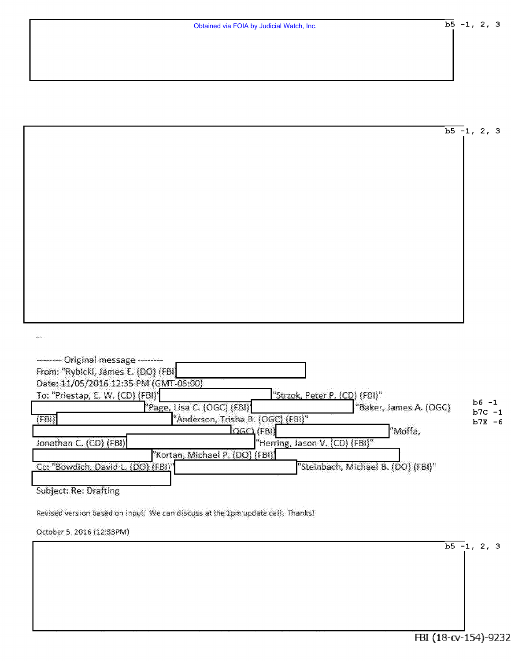| Obtained via FOIA by Judicial Watch, Inc.                                                                         | $b5 - 1, 2, 3$             |                      |
|-------------------------------------------------------------------------------------------------------------------|----------------------------|----------------------|
|                                                                                                                   |                            |                      |
|                                                                                                                   |                            |                      |
|                                                                                                                   |                            |                      |
|                                                                                                                   | $\overline{b5 - 1}$ , 2, 3 |                      |
|                                                                                                                   |                            |                      |
|                                                                                                                   |                            |                      |
|                                                                                                                   |                            |                      |
|                                                                                                                   |                            |                      |
|                                                                                                                   |                            |                      |
|                                                                                                                   |                            |                      |
|                                                                                                                   |                            |                      |
|                                                                                                                   |                            |                      |
|                                                                                                                   |                            |                      |
| $\mathcal{L}^{(1)}_{\mathcal{C}}$                                                                                 |                            |                      |
| -------- Original message --------<br>From: "Rybicki, James E. (DO) [FBI]                                         |                            |                      |
| Date: 11/05/2016 12:35 PM (GMT-05:00)<br><u>To: "Priestap, E. W. (CD) (FBI)"</u><br>"Strzok, Peter P. (CD) (FBI)" |                            |                      |
| "Baker, James A. (OGC)<br>Page, Lisa C. (OGC) (FBI)<br>"Anderson, Trisha B. (OGC) (FBI)"<br>(FB)                  |                            | $b6 - 1$<br>$b7C -1$ |
| $\overline{\text{CGCI}}$ (FBI)<br>"Moffa,                                                                         |                            | $b7E - 6$            |
| Jonathan C. (CD) (FBI)<br>"Herring, Jason V. (CD) (FBI)"<br>"Kortan, Michael P. (DO) (FBI)"                       |                            |                      |
| Cc: "Bowdich, David L. (DO) (FBI)"<br>"Steinbach, Michael B. (DO) (FBI)"                                          |                            |                      |
| Subject: Re: Drafting                                                                                             |                            |                      |
| Revised version based on input. We can discuss at the 1pm update call. Thanks!                                    |                            |                      |
| October 5, 2016 (12:33PM)                                                                                         |                            |                      |
|                                                                                                                   | $\overline{b5 - 1}$ , 2, 3 |                      |
|                                                                                                                   |                            |                      |
|                                                                                                                   |                            |                      |
|                                                                                                                   |                            |                      |